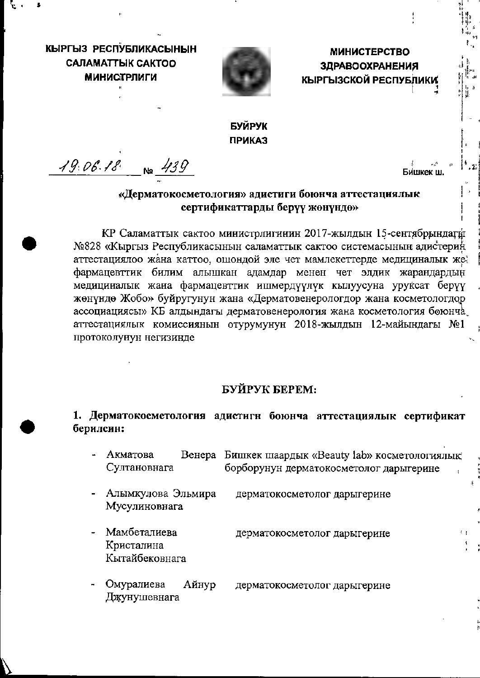КЫРГЫЗ РЕСПУБЛИКАСЫНЫН **CARAMATTHIK CAKTOO МИНИСТРЛИГИ** 



**МИНИСТЕРСТВО ЗДРАВООХРАНЕНИЯ** КЫРГЫЗСКОЙ РЕСПУБЛИКИ

# **БУЙРУК ПРИКАЗ**

 $19.06.18$  No  $439$ 

#### «Дерматокосметология» адистиги боюнча аттестациялык сертификаттарды берүү жөнүндө»

КР Саламаттык сактоо министрлигинин 2017-жылдын 15-сентябрындагы №828 «Кыргыз Республикасынын саламаттык сактоо системасынын адистерин аттестациялоо жана каттоо, ошондой эле чет мамлекеттерде медициналык же фармацевттик билим алышкан адамдар менен чет элдик жарандардын медициналык жана фармацевттик ишмердүүлүк кылуусуна уруксат берүү жөнүндө Жобо» буйругунун жана «Дерматовенерологдор жана косметологдор ассоциациясы» КБ алдындагы дерматовенерология жана косметология боюнча. аттестациялык комиссиянын отурумунун 2018-жылдын 12-майындагы №1 протоколунун негизинде

#### БУЙРУК БЕРЕМ:

#### 1. Дерматокосметология адистигн боюнча аттестациялык сертификат берилсин:

- Венера Бишкек шаардык «Beauty lab» косметологиялык Акматова борборунун дерматокосметолог дарыгерине Султановнага
- Алымкулова Эльмира дерматокосметолог дарыгерине Мусулиновнага
- Мамбеталиева дерматокосметолог дарыгерине Кристалина Кытайбековнага
- Омуралиева Айнур дерматокосметолог дарыгерине Джунушевнага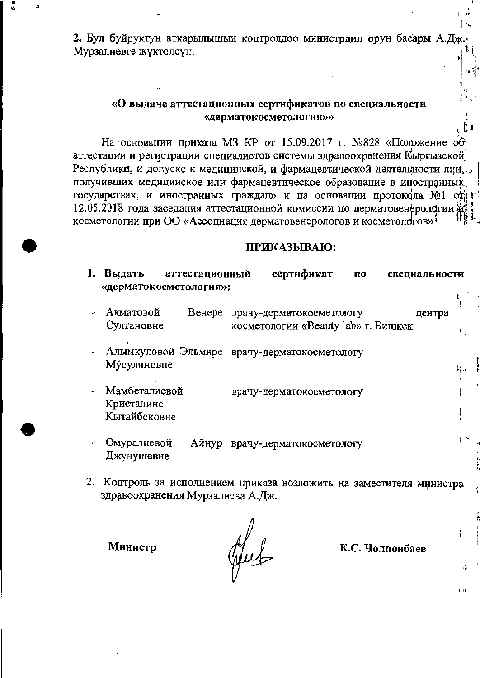2. Бул буйруктун аткарылышын контролдоо министрдин орун басары А.Дж Мурзалиевге жүктөлсүн.

#### «О выдаче аттестационных сертификатов по специальности «дерматокосметология»»

На основании приказа МЗ КР от 15.09.2017 г. №828 «Положение об аттестации и регистрации специалистов системы здравоохранения Кыргызской Республики, и допуске к медицинской, и фармацевтической деятельности лиц, получивших медицииское или фармацевтическое образование в иностранных государствах, и иностранных граждан» и на основании протокола №1 од г 12.05.2018 года заседания аттестационной комиссии по дерматовенерологии  $\mathcal{H}$ косметологии при ОО «Ассоциация дерматовенерологов и косметологов»<sup>3</sup>

#### ПРИКАЗЫВАЮ:

| Выдать<br>аттестационный<br>«дерматокосметология»: | сертификат<br>П0<br>специальности;                                        |    |
|----------------------------------------------------|---------------------------------------------------------------------------|----|
| Акматовой<br>Венере<br>Султановне                  | врачу-дерматокосметологу<br>цеитра<br>косметологии «Beauty lab» г. Бишкек |    |
| Мусулиновне                                        | Алымкуловой Эльмире врачу-дерматокосметологу                              | 녀니 |
| Мамбеталиевой<br>Кристалине<br>Кытайбековне        | врачу-дерматокосметологу                                                  |    |
| Омуралиевой<br>Джунушевне                          | Айнур врачу-дерматокосметологу                                            |    |
| T.C.                                               |                                                                           |    |

2. Контроль за исполнением приказа возложить на заместителя министра здравоохранения Мурзалиева А.Дж.

Министр

Hut

К.С. Чолпоибаев

ÊΙ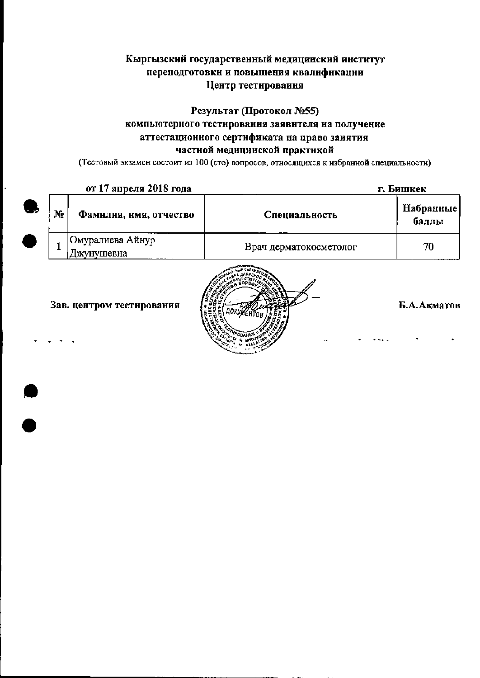## Кыргызский государственный медицинский институт переподготовки и повышения квалификации Центр тестироваиия

# Результат (Протокол №55) компьютериого тестирования заявителя на получение аттестационного сертификата на право заиятия частной медицинской практикой

(Тестовый экзамен состоит из 100 (сто) вопросов, относящихся к избранной специальности)

| от 17 апреля 2018 года |                                | г. Бишкек              |                    |
|------------------------|--------------------------------|------------------------|--------------------|
| N <sub>2</sub>         | Фамилия, имя, отчество         | Специальность          | Набранные<br>баллы |
|                        | Омуралиева Айнур<br>Джунушевна | Врач дерматокосметолог | 70                 |

Зав. центром тестирования



Б.А.Акматов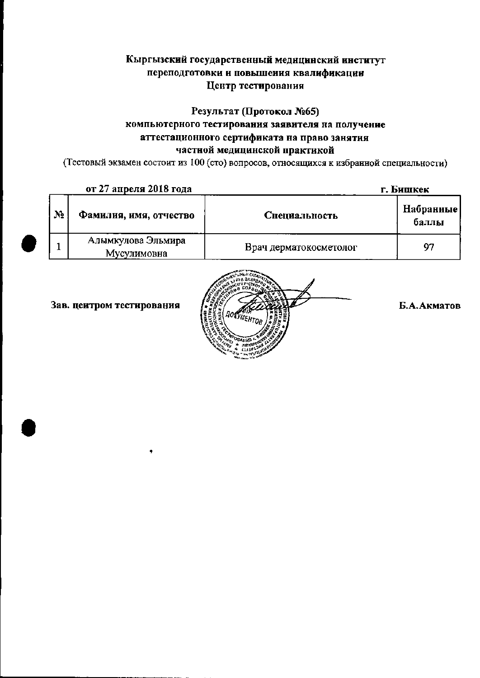### Кыргызский государственный медицинский институт переподготовки и повышения квалификации Центр тестирования

#### Результат (Протокол №65) компьютерного тестирования заявителя на получение аттестационного сертификата на право занятия частной медицинской практикой

(Тестовый экзамен состоит из 100 (сто) вопросов, относящихся к избранной специальности)

|                | от 27 апреля 2018 года            | г. Бишкек              |                    |
|----------------|-----------------------------------|------------------------|--------------------|
| N <sub>2</sub> | Фамилия, имя, отчество            | Специальность          | Набранные<br>баллы |
|                | Алымкулова Эльмира<br>Мусулимовна | Врач дерматокосметолог | 97                 |





Б.А.Акматов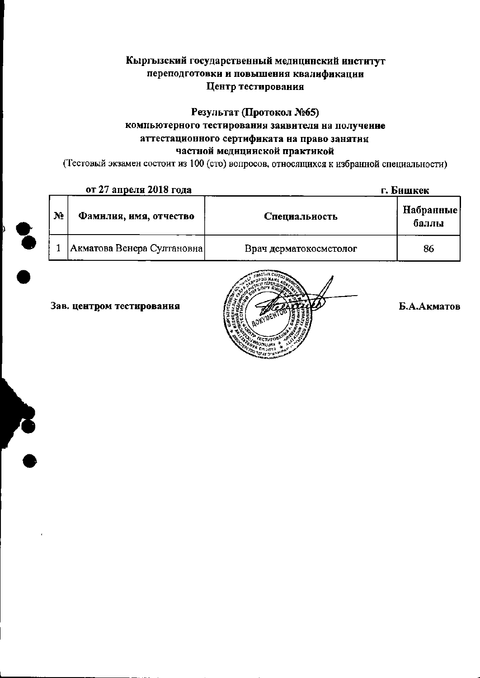#### Кыргызский государственный медицинский институт переподготовки и повышения квалификации Центр тестирования

## Результат (Протокол №65) компьютерного тестирования заявителя на получение аттестационного сертификата на право занятия частной медицииской практикой

(Тестовый экзамен состоит из 100 (сто) вопросов, относящихся к избранной специальности)

|    | от 27 апреля 2018 года     | г. Бишкек              |                    |  |
|----|----------------------------|------------------------|--------------------|--|
| No | Фамилия, имя, отчество     | Специальность          | Набранные<br>баллы |  |
|    | Акматова Венера Султановна | Врач дерматокосметолог | 86                 |  |

Зав. центром тестирования



Б.А.Акматов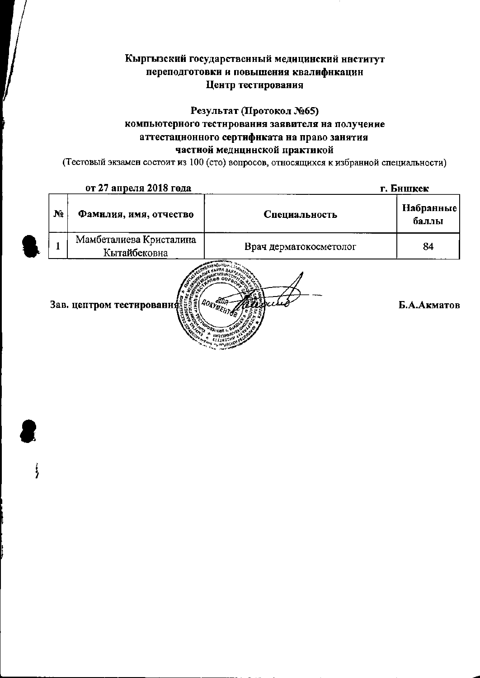### Кыргызский государственный медицинский ниститут переподготовки и повышения квалифнкацин Центр тестирования

## Результат (Протокол №65) компьютерного тестирования заявителя на получение аттестационного сертификата на право занятия частной меднцинской практикой

(Тестовый экзамен состоит из 100 (сто) вопросов, относящихся к избранной специальности)

| от 27 апреля 2018 года |                                         |                        | г. Бншкек          |  |
|------------------------|-----------------------------------------|------------------------|--------------------|--|
| No                     | Фамилия, имя, отчество                  | Специальность          | Набранные<br>баллы |  |
|                        | Мамбеталиева Кристалина<br>Кытайбековна | Врач дерматокосметолог | 84                 |  |
|                        | Зав. цептром тестирования               |                        | Б.А.Акматов        |  |

 $\big)$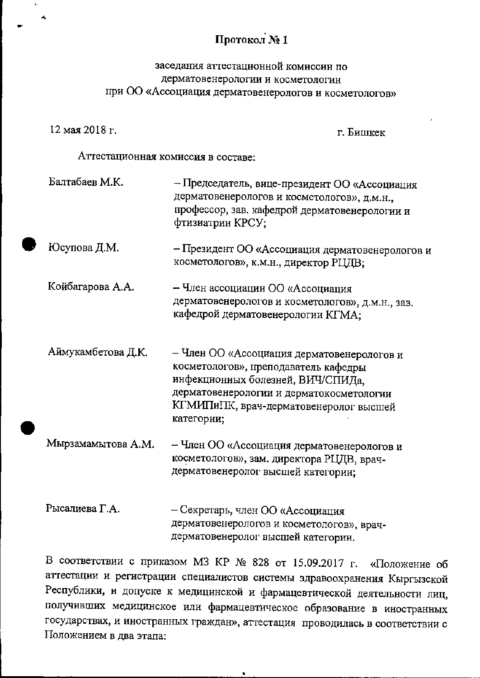# Протокол № 1

### заседания аттестационной комиссии по дерматовенерологии и косметологии при ОО «Ассоциация дерматовенерологов и косметологов»

12 мая 2018 г.

г. Бишкек

Аттестационная комиссия в составе:

- Балтабаев М.К. - Председатель, вице-президент ОО «Ассоциация дерматовенерологов и косметологов», д.м.н., профессор, зав. кафедрой дерматовенерологии и фтизиатрии КРСУ; Юсупова Д.М. - Президент ОО «Ассоциация дерматовенерологов и косметологов», к.м.н., директор РЦДВ; Койбагарова А.А. – Член ассоциации ОО «Ассоциация дерматовенерологов и косметологов», д.м.н., зав. кафедрой дерматовенерологии КГМА; - Член ОО «Ассоциация дерматовенерологов и Аймукамбетова Д.К. косметологов», преподаватель кафедры инфекционных болезней, ВИЧ/СПИДа,
	- дерматовенерологии и дерматокосметологии КГМИПиПК, врач-дерматовенеролог высшей категории;
- Член ОО «Ассоциация дерматовенерологов и Мырзамамытова А.М. косметологов», зам. директора РЦДВ, врачдерматовенеролог высшей категории;
- Рысалиева Г.А. - Секретарь, член ОО «Ассоциация дерматовенерологов и косметологов», врачдерматовенеролог высшей категории.

В соответствии с приказом МЗ КР № 828 от 15.09.2017 г. «Положение об аттестации и регистрации специалистов системы здравоохранения Кыргызской Республики, и допуске к медицинской и фармацевтической деятельности лиц, получивших медицинское или фармацевтическое образование в иностранных государствах, и иностранных граждан», аттестация проводилась в соответствии с Положением в два этапа: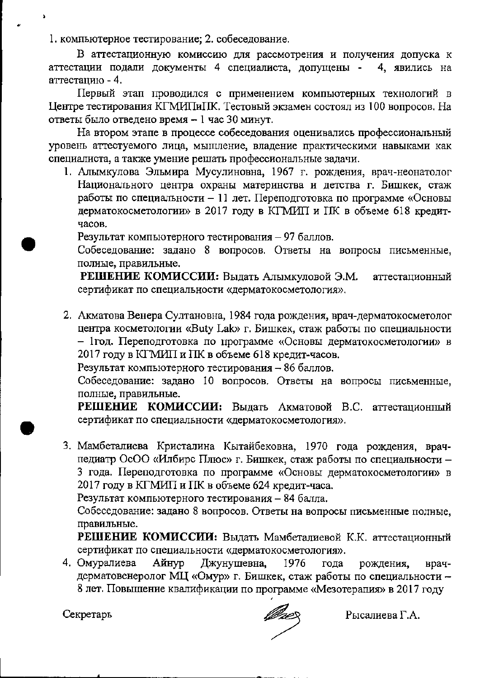1. компьютерное тестирование; 2. собеседование.

В аттестационную комиссию для рассмотрения и получения допуска к аттестации подали документы 4 специалиста, допущены - 4, явились на аттестацию - 4.

Первый этап проводился с применением компьютерных технологий в Центре тестирования КГМИПиГІК. Тестовый экзамен состоял из 100 вопросов. На ответы было отведено время - 1 час 30 минут.

На втором этапе в процессе собеседования оценивались профессиональный уровень аттестуемого лица, мышление, владение практическими навыками как специалиста, а также умение решать профессиональные задачи.

1. Алымкулова Эльмира Мусулиновна, 1967 г. рождения, врач-неонатолог Национального центра охраны материнства и детства г. Бишкек, стаж работы по специальности - 11 лет. Переподготовка по программе «Основы дерматокосметологии» в 2017 году в КГМИП и ПК в объеме 618 кредитчасов.

Результат компьютерного тестирования - 97 баллов.

Собеседование: задано 8 вопросов. Ответы на вопросы письменные, полные, правильные.

РЕШЕНИЕ КОМИССИИ: Выдать Алымкуловой Э.М. аттестационный сертификат по специальности «дерматокосметология».

2. Акматова Венера Султановна, 1984 года рождения, врач-дерматокосметолог центра косметологии «Buty Lak» г. Бишкек, стаж работы по специальности - 1год. Переподготовка по программе «Основы дерматокосметологии» в 2017 году в КГМИП и ПК в объеме 618 кредит-часов.

Результат компьютерного тестирования - 86 баллов.

Собеседование: задано 10 вопросов. Ответы на вопросы письменные, полные, правильные.

РЕШЕНИЕ КОМИССИИ: Выдать Акматовой В.С. аттестационный сертификат по специальности «дерматокосметология».

3. Мамбеталиева Кристалина Кытайбековна, 1970 года рождения, врачпедиатр ОсОО «Илбирс Плюс» г. Бишкек, стаж работы по специальности -3 года. Переподготовка по программе «Основы дерматокосметологии» в 2017 году в КГМИП и ПК в объеме 624 кредит-часа.

Результат компьютерного тестирования - 84 балла.

Собеседование: задано 8 вопросов. Ответы на вопросы письменные полные, правильные.

РЕШЕНИЕ КОМИССИИ: Выдать Мамбеталиевой К.К. аттестационный сертификат по специальности «дерматокосметология».

4. Омуралиева Айнур Джунушевна, 1976 гола рождения, врачдерматовенеролог МЦ «Омур» г. Бишкек, стаж работы по специальности -8 лет. Повышение квалификации по программе «Мезотерапия» в 2017 году

Секретарь

Рысалиева Г.А.